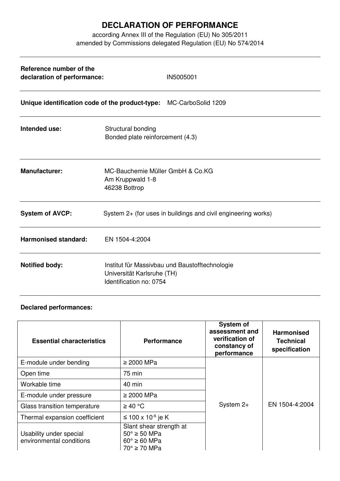## **DECLARATION OF PERFORMANCE**

according Annex III of the Regulation (EU) No 305/2011 amended by Commissions delegated Regulation (EU) No 574/2014

| Reference number of the<br>declaration of performance:             | IN5005001                                                                                               |  |  |  |
|--------------------------------------------------------------------|---------------------------------------------------------------------------------------------------------|--|--|--|
| Unique identification code of the product-type: MC-CarboSolid 1209 |                                                                                                         |  |  |  |
| Intended use:                                                      | Structural bonding<br>Bonded plate reinforcement (4.3)                                                  |  |  |  |
| <b>Manufacturer:</b>                                               | MC-Bauchemie Müller GmbH & Co.KG<br>Am Kruppwald 1-8<br>46238 Bottrop                                   |  |  |  |
| <b>System of AVCP:</b>                                             | System 2+ (for uses in buildings and civil engineering works)                                           |  |  |  |
| <b>Harmonised standard:</b>                                        | EN 1504-4:2004                                                                                          |  |  |  |
| <b>Notified body:</b>                                              | Institut für Massivbau und Baustofftechnologie<br>Universität Karlsruhe (TH)<br>Identification no: 0754 |  |  |  |

## **Declared performances:**

| <b>Essential characteristics</b>                    | <b>Performance</b>                                                                                    | <b>System of</b><br>assessment and<br>verification of<br>constancy of<br>performance | <b>Harmonised</b><br><b>Technical</b><br>specification |
|-----------------------------------------------------|-------------------------------------------------------------------------------------------------------|--------------------------------------------------------------------------------------|--------------------------------------------------------|
| E-module under bending                              | $\geq$ 2000 MPa                                                                                       | System $2+$                                                                          | EN 1504-4:2004                                         |
| Open time                                           | 75 min                                                                                                |                                                                                      |                                                        |
| Workable time                                       | 40 min                                                                                                |                                                                                      |                                                        |
| E-module under pressure                             | $\geq 2000$ MPa                                                                                       |                                                                                      |                                                        |
| Glass transition temperature                        | $\geq 40$ °C                                                                                          |                                                                                      |                                                        |
| Thermal expansion coefficient                       | ≤ 100 x 10 <sup>-6</sup> je K                                                                         |                                                                                      |                                                        |
| Usability under special<br>environmental conditions | Slant shear strength at<br>$50^\circ \geq 50$ MPa<br>$60^\circ \geq 60$ MPa<br>$70^\circ \geq 70$ MPa |                                                                                      |                                                        |